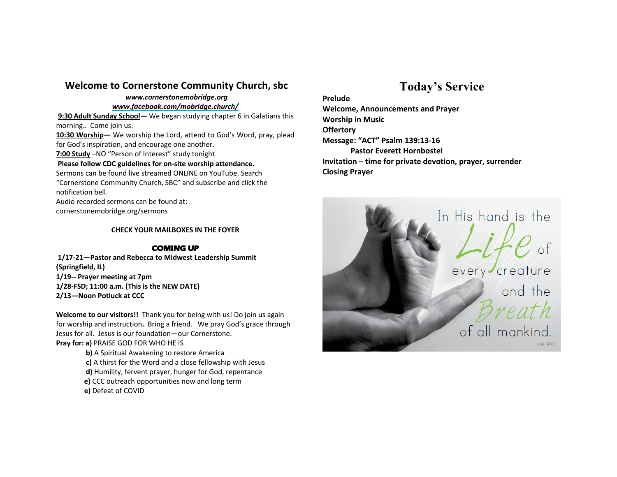### **Welcome to Cornerstone Community Church, sbc**

## *www.cornerstonemobridge.org*

*www.facebook.com/mobridge.church/*

**9:30 Adult Sunday School—** We began studying chapter 6 in Galatians this morning.. Come join us.

**10:30 Worship—** We worship the Lord, attend to God's Word, pray, plead for God's inspiration, and encourage one another.

**7:00 Study** –NO "Person of Interest" study tonight

#### **Please follow CDC guidelines for on-site worship attendance.**

Sermons can be found live streamed ONLINE on YouTube. Search "Cornerstone Community Church, SBC" and subscribe and click the notification bell.

Audio recorded sermons can be found at: cornerstonemobridge.org/sermons

**CHECK YOUR MAILBOXES IN THE FOYER**

#### **COMING UP**

**1/17-21—Pastor and Rebecca to Midwest Leadership Summit (Springfield, IL) 1/19-- Prayer meeting at 7pm 1/28-FSD; 11:00 a.m. (This is the NEW DATE) 2/13—Noon Potluck at CCC**

**Welcome to our visitors!!** Thank you for being with us! Do join us again for worship and instruction**.** Bring a friend. We pray God's grace through Jesus for all. Jesus is our foundation—our Cornerstone. **Pray for: a)** PRAISE GOD FOR WHO HE IS

**b)** A Spiritual Awakening to restore America

**c)** A thirst for the Word and a close fellowship with Jesus

**d)** Humility, fervent prayer, hunger for God, repentance

- **e)** CCC outreach opportunities now and long term
- **e)** Defeat of COVID

# **Today's Service**

**Prelude**

**Welcome, Announcements and Prayer Worship in Music Offertory Message: "ACT" Psalm 139:13-16 Pastor Everett Hornbostel Invitation** – **time for private devotion, prayer, surrender Closing Prayer**